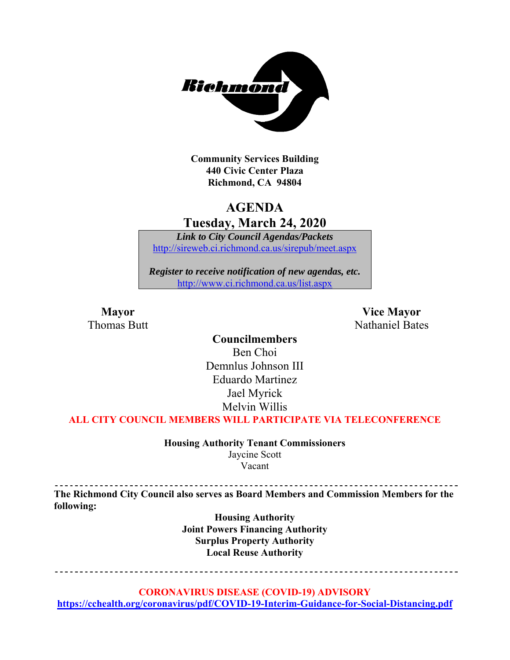

**Community Services Building 440 Civic Center Plaza Richmond, CA 94804** 

# **AGENDA Tuesday, March 24, 2020**

*Link to City Council Agendas/Packets*  http://sireweb.ci.richmond.ca.us/sirepub/meet.aspx

*Register to receive notification of new agendas, etc.*  http://www.ci.richmond.ca.us/list.aspx

**Mayor** Vice Mayor Thomas Butt **Nathaniel Bates** Nathaniel Bates

> **Councilmembers**  Ben Choi Demnlus Johnson III Eduardo Martinez Jael Myrick Melvin Willis

**ALL CITY COUNCIL MEMBERS WILL PARTICIPATE VIA TELECONFERENCE** 

**Housing Authority Tenant Commissioners**  Jaycine Scott Vacant

**The Richmond City Council also serves as Board Members and Commission Members for the following:** 

> **Housing Authority Joint Powers Financing Authority Surplus Property Authority Local Reuse Authority**

<u> - - - - - - - - - - - - - - -</u> --------------------------------

**CORONAVIRUS DISEASE (COVID-19) ADVISORY** 

**https://cchealth.org/coronavirus/pdf/COVID-19-Interim-Guidance-for-Social-Distancing.pdf**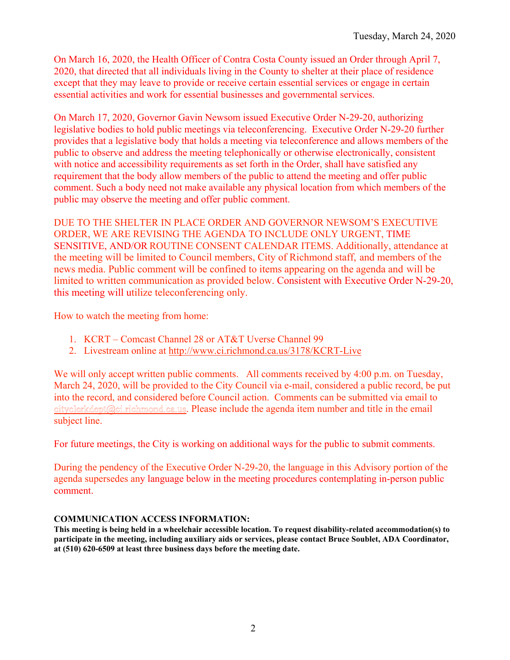On March 16, 2020, the Health Officer of Contra Costa County issued an Order through April 7, 2020, that directed that all individuals living in the County to shelter at their place of residence except that they may leave to provide or receive certain essential services or engage in certain essential activities and work for essential businesses and governmental services.

On March 17, 2020, Governor Gavin Newsom issued Executive Order N-29-20, authorizing legislative bodies to hold public meetings via teleconferencing. Executive Order N-29-20 further provides that a legislative body that holds a meeting via teleconference and allows members of the public to observe and address the meeting telephonically or otherwise electronically, consistent with notice and accessibility requirements as set forth in the Order, shall have satisfied any requirement that the body allow members of the public to attend the meeting and offer public comment. Such a body need not make available any physical location from which members of the public may observe the meeting and offer public comment.

DUE TO THE SHELTER IN PLACE ORDER AND GOVERNOR NEWSOM'S EXECUTIVE ORDER, WE ARE REVISING THE AGENDA TO INCLUDE ONLY URGENT, TIME SENSITIVE, AND/OR ROUTINE CONSENT CALENDAR ITEMS. Additionally, attendance at the meeting will be limited to Council members, City of Richmond staff, and members of the news media. Public comment will be confined to items appearing on the agenda and will be limited to written communication as provided below. Consistent with Executive Order N-29-20, this meeting will utilize teleconferencing only.

How to watch the meeting from home:

- 1. KCRT Comcast Channel 28 or AT&T Uverse Channel 99
- 2. Livestream online at http://www.ci.richmond.ca.us/3178/KCRT-Live

We will only accept written public comments. All comments received by 4:00 p.m. on Tuesday, March 24, 2020, will be provided to the City Council via e-mail, considered a public record, be put into the record, and considered before Council action. Comments can be submitted via email to cityclerkdept@ci.richmond.ca.us. Please include the agenda item number and title in the email subject line.

For future meetings, the City is working on additional ways for the public to submit comments.

During the pendency of the Executive Order N-29-20, the language in this Advisory portion of the agenda supersedes any language below in the meeting procedures contemplating in-person public comment.

#### **COMMUNICATION ACCESS INFORMATION:**

**This meeting is being held in a wheelchair accessible location. To request disability-related accommodation(s) to participate in the meeting, including auxiliary aids or services, please contact Bruce Soublet, ADA Coordinator, at (510) 620-6509 at least three business days before the meeting date.**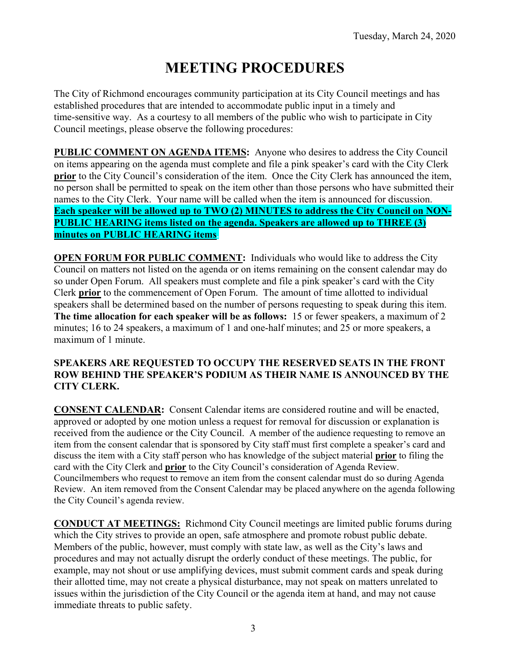# **MEETING PROCEDURES**

The City of Richmond encourages community participation at its City Council meetings and has established procedures that are intended to accommodate public input in a timely and time-sensitive way. As a courtesy to all members of the public who wish to participate in City Council meetings, please observe the following procedures:

**PUBLIC COMMENT ON AGENDA ITEMS:** Anyone who desires to address the City Council on items appearing on the agenda must complete and file a pink speaker's card with the City Clerk **prior** to the City Council's consideration of the item. Once the City Clerk has announced the item, no person shall be permitted to speak on the item other than those persons who have submitted their names to the City Clerk. Your name will be called when the item is announced for discussion. **Each speaker will be allowed up to TWO (2) MINUTES to address the City Council on NON-PUBLIC HEARING items listed on the agenda. Speakers are allowed up to THREE (3) minutes on PUBLIC HEARING items.** 

**OPEN FORUM FOR PUBLIC COMMENT:** Individuals who would like to address the City Council on matters not listed on the agenda or on items remaining on the consent calendar may do so under Open Forum. All speakers must complete and file a pink speaker's card with the City Clerk **prior** to the commencement of Open Forum. The amount of time allotted to individual speakers shall be determined based on the number of persons requesting to speak during this item. **The time allocation for each speaker will be as follows:** 15 or fewer speakers, a maximum of 2 minutes; 16 to 24 speakers, a maximum of 1 and one-half minutes; and 25 or more speakers, a maximum of 1 minute.

## **SPEAKERS ARE REQUESTED TO OCCUPY THE RESERVED SEATS IN THE FRONT ROW BEHIND THE SPEAKER'S PODIUM AS THEIR NAME IS ANNOUNCED BY THE CITY CLERK.**

**CONSENT CALENDAR:** Consent Calendar items are considered routine and will be enacted, approved or adopted by one motion unless a request for removal for discussion or explanation is received from the audience or the City Council. A member of the audience requesting to remove an item from the consent calendar that is sponsored by City staff must first complete a speaker's card and discuss the item with a City staff person who has knowledge of the subject material **prior** to filing the card with the City Clerk and **prior** to the City Council's consideration of Agenda Review. Councilmembers who request to remove an item from the consent calendar must do so during Agenda Review. An item removed from the Consent Calendar may be placed anywhere on the agenda following the City Council's agenda review.

**CONDUCT AT MEETINGS:** Richmond City Council meetings are limited public forums during which the City strives to provide an open, safe atmosphere and promote robust public debate. Members of the public, however, must comply with state law, as well as the City's laws and procedures and may not actually disrupt the orderly conduct of these meetings. The public, for example, may not shout or use amplifying devices, must submit comment cards and speak during their allotted time, may not create a physical disturbance, may not speak on matters unrelated to issues within the jurisdiction of the City Council or the agenda item at hand, and may not cause immediate threats to public safety.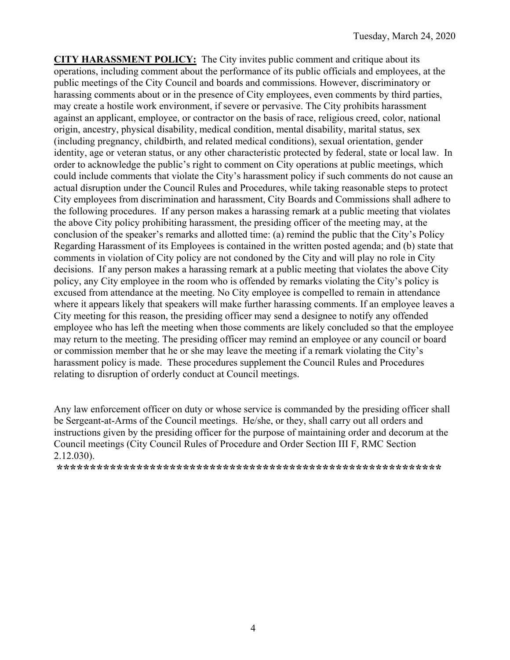**CITY HARASSMENT POLICY:** The City invites public comment and critique about its operations, including comment about the performance of its public officials and employees, at the public meetings of the City Council and boards and commissions. However, discriminatory or harassing comments about or in the presence of City employees, even comments by third parties, may create a hostile work environment, if severe or pervasive. The City prohibits harassment against an applicant, employee, or contractor on the basis of race, religious creed, color, national origin, ancestry, physical disability, medical condition, mental disability, marital status, sex (including pregnancy, childbirth, and related medical conditions), sexual orientation, gender identity, age or veteran status, or any other characteristic protected by federal, state or local law. In order to acknowledge the public's right to comment on City operations at public meetings, which could include comments that violate the City's harassment policy if such comments do not cause an actual disruption under the Council Rules and Procedures, while taking reasonable steps to protect City employees from discrimination and harassment, City Boards and Commissions shall adhere to the following procedures. If any person makes a harassing remark at a public meeting that violates the above City policy prohibiting harassment, the presiding officer of the meeting may, at the conclusion of the speaker's remarks and allotted time: (a) remind the public that the City's Policy Regarding Harassment of its Employees is contained in the written posted agenda; and (b) state that comments in violation of City policy are not condoned by the City and will play no role in City decisions. If any person makes a harassing remark at a public meeting that violates the above City policy, any City employee in the room who is offended by remarks violating the City's policy is excused from attendance at the meeting. No City employee is compelled to remain in attendance where it appears likely that speakers will make further harassing comments. If an employee leaves a City meeting for this reason, the presiding officer may send a designee to notify any offended employee who has left the meeting when those comments are likely concluded so that the employee may return to the meeting. The presiding officer may remind an employee or any council or board or commission member that he or she may leave the meeting if a remark violating the City's harassment policy is made. These procedures supplement the Council Rules and Procedures relating to disruption of orderly conduct at Council meetings.

Any law enforcement officer on duty or whose service is commanded by the presiding officer shall be Sergeant-at-Arms of the Council meetings. He/she, or they, shall carry out all orders and instructions given by the presiding officer for the purpose of maintaining order and decorum at the Council meetings (City Council Rules of Procedure and Order Section III F, RMC Section 2.12.030).

**\*\*\*\*\*\*\*\*\*\*\*\*\*\*\*\*\*\*\*\*\*\*\*\*\*\*\*\*\*\*\*\*\*\*\*\*\*\*\*\*\*\*\*\*\*\*\*\*\*\*\*\*\*\*\*\*\*\***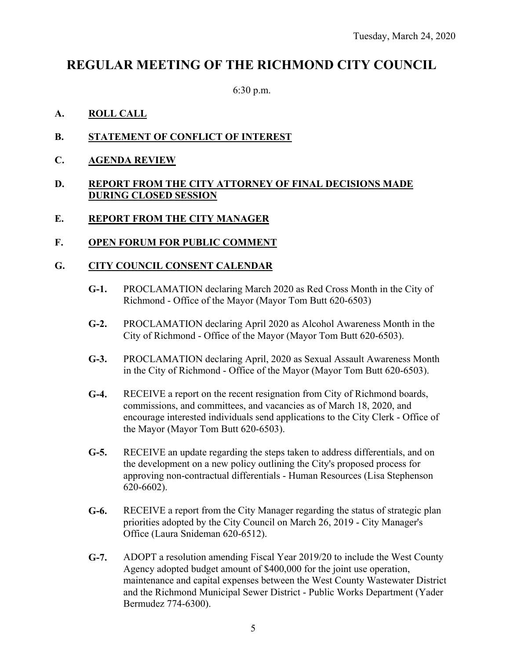# **REGULAR MEETING OF THE RICHMOND CITY COUNCIL**

6:30 p.m.

## **A. ROLL CALL**

- **B. STATEMENT OF CONFLICT OF INTEREST**
- **C. AGENDA REVIEW**
- **D. REPORT FROM THE CITY ATTORNEY OF FINAL DECISIONS MADE DURING CLOSED SESSION**

## **E. REPORT FROM THE CITY MANAGER**

#### **F. OPEN FORUM FOR PUBLIC COMMENT**

#### **G. CITY COUNCIL CONSENT CALENDAR**

- **G-1.** PROCLAMATION declaring March 2020 as Red Cross Month in the City of Richmond - Office of the Mayor (Mayor Tom Butt 620-6503)
- **G-2.** PROCLAMATION declaring April 2020 as Alcohol Awareness Month in the City of Richmond - Office of the Mayor (Mayor Tom Butt 620-6503).
- **G-3.** PROCLAMATION declaring April, 2020 as Sexual Assault Awareness Month in the City of Richmond - Office of the Mayor (Mayor Tom Butt 620-6503).
- **G-4.** RECEIVE a report on the recent resignation from City of Richmond boards, commissions, and committees, and vacancies as of March 18, 2020, and encourage interested individuals send applications to the City Clerk - Office of the Mayor (Mayor Tom Butt 620-6503).
- **G-5.** RECEIVE an update regarding the steps taken to address differentials, and on the development on a new policy outlining the City's proposed process for approving non-contractual differentials - Human Resources (Lisa Stephenson 620-6602).
- **G-6.** RECEIVE a report from the City Manager regarding the status of strategic plan priorities adopted by the City Council on March 26, 2019 - City Manager's Office (Laura Snideman 620-6512).
- **G-7.** ADOPT a resolution amending Fiscal Year 2019/20 to include the West County Agency adopted budget amount of \$400,000 for the joint use operation, maintenance and capital expenses between the West County Wastewater District and the Richmond Municipal Sewer District - Public Works Department (Yader Bermudez 774-6300).